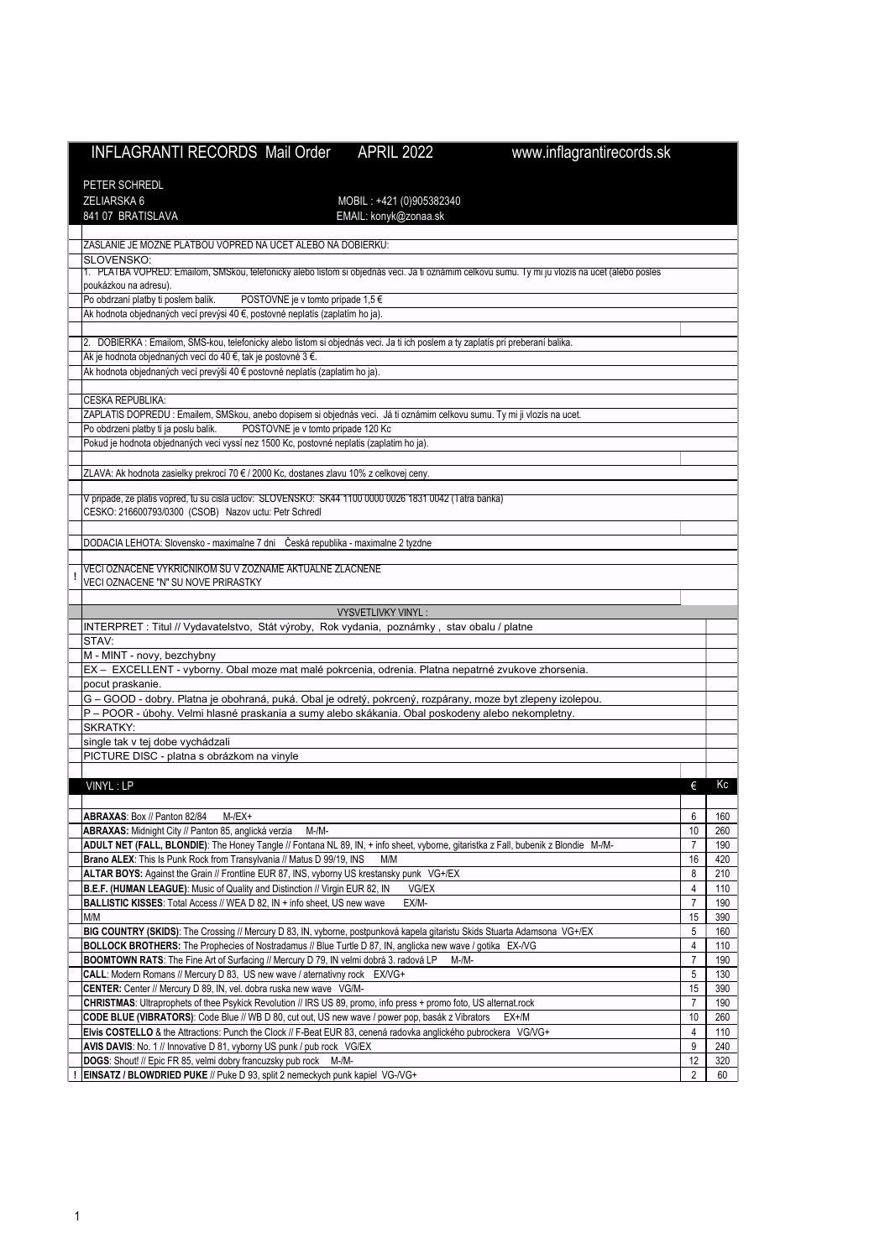| <b>INFLAGRANTI RECORDS Mail Order</b><br><b>APRIL 2022</b><br>www.inflagrantirecords.sk                                                                                                                             |                      |            |
|---------------------------------------------------------------------------------------------------------------------------------------------------------------------------------------------------------------------|----------------------|------------|
|                                                                                                                                                                                                                     |                      |            |
| PETER SCHREDL                                                                                                                                                                                                       |                      |            |
| <b>ZELIARSKA 6</b><br>MOBIL: +421 (0)905382340                                                                                                                                                                      |                      |            |
| 841 07 BRATISLAVA<br>EMAIL: konyk@zonaa.sk                                                                                                                                                                          |                      |            |
|                                                                                                                                                                                                                     |                      |            |
| ZASLANIE JE MOZNE PLATBOU VOPRED NA UCET ALEBO NA DOBIERKU:                                                                                                                                                         |                      |            |
| SLOVENSKO:<br>1. PLATBA VOPRED: Emailom, SMSkou, teletonicky alebo listom si objednás veci. Ja ti oznámim celkovú sumu. Ty mi ju vlozís na úcet (alebo posles                                                       |                      |            |
| poukázkou na adresu).                                                                                                                                                                                               |                      |            |
| Po obdrzaní platby ti poslem balík.<br>POSTOVNE je v tomto prípade 1,5 €                                                                                                                                            |                      |            |
| Ak hodnota objednaných vecí prevýsi 40 €, postovné neplatís (zaplatím ho ja).                                                                                                                                       |                      |            |
|                                                                                                                                                                                                                     |                      |            |
| DOBIERKA : Emailom, SMS-kou, telefonicky alebo listom si objednás veci. Ja ti ich poslem a ty zaplatís pri preberaní balika.<br>2.                                                                                  |                      |            |
| Ak je hodnota objednaných vecí do 40 €, tak je postovné 3 €.<br>Ak hodnota objednaných vecí prevýši 40 € postovné neplatís (zaplatim ho ja).                                                                        |                      |            |
|                                                                                                                                                                                                                     |                      |            |
| CESKA REPUBLIKA:                                                                                                                                                                                                    |                      |            |
| ZAPLATIS DOPREDU : Emailem, SMSkou, anebo dopisem si objednás veci. Já ti oznámim celkovu sumu. Ty mi ji vlozís na ucet.                                                                                            |                      |            |
| Po obdrzeni platby ti ja poslu balik.<br>POSTOVNE je v tomto pripade 120 Kc                                                                                                                                         |                      |            |
| Pokud je hodnota objednaných veci vyssí nez 1500 Kc, postovné neplatis (zaplatim ho ja).                                                                                                                            |                      |            |
|                                                                                                                                                                                                                     |                      |            |
| ZLAVA: Ak hodnota zasielky prekrocí 70 € / 2000 Kc, dostanes zlavu 10% z celkovej ceny.                                                                                                                             |                      |            |
| V pripade, ze platis vopred, tu su cisla uctov: SLOVENSKO: SK44 1100 0000 0026 1831 0042 (Tatra banka)                                                                                                              |                      |            |
| CESKO: 216600793/0300 (CSOB) Nazov uctu: Petr Schredl                                                                                                                                                               |                      |            |
|                                                                                                                                                                                                                     |                      |            |
| DODACIA LEHOTA: Slovensko - maximalne 7 dni Česká republika - maximalne 2 tyzdne                                                                                                                                    |                      |            |
|                                                                                                                                                                                                                     |                      |            |
| VECI OZNACENE VYKRICNIKOM SU V ZOZNAME AKTUALNE ZLACNENE<br>VECI OZNACENE "N" SU NOVE PRIRASTKY                                                                                                                     |                      |            |
|                                                                                                                                                                                                                     |                      |            |
| VYSVETLIVKY VINYL:                                                                                                                                                                                                  |                      |            |
| INTERPRET : Titul // Vydavatelstvo, Stát výroby, Rok vydania, poznámky, stav obalu / platne                                                                                                                         |                      |            |
| STAV:                                                                                                                                                                                                               |                      |            |
| M - MINT - novy, bezchybny                                                                                                                                                                                          |                      |            |
| EX - EXCELLENT - vyborny. Obal moze mat malé pokrcenia, odrenia. Platna nepatrné zvukove zhorsenia.                                                                                                                 |                      |            |
| pocut praskanie.                                                                                                                                                                                                    |                      |            |
| G – GOOD - dobry. Platna je obohraná, puká. Obal je odretý, pokrcený, rozpárany, moze byt zlepeny izolepou.<br>P – POOR - úbohy. Velmi hlasné praskania a sumy alebo skákania. Obal poskodeny alebo nekompletny.    |                      |            |
| <b>SKRATKY:</b>                                                                                                                                                                                                     |                      |            |
| single tak v tej dobe vychádzali                                                                                                                                                                                    |                      |            |
| PICTURE DISC - platna s obrázkom na vinyle                                                                                                                                                                          |                      |            |
|                                                                                                                                                                                                                     |                      |            |
| VINYL: LP                                                                                                                                                                                                           | €                    | Kc         |
|                                                                                                                                                                                                                     |                      |            |
| ABRAXAS: Box // Panton 82/84<br>$M$ -/EX+                                                                                                                                                                           | 6                    | 160        |
| ABRAXAS: Midnight City // Panton 85, anglická verzia<br>M-/M-                                                                                                                                                       | 10                   | 260        |
| ADULT NET (FALL, BLONDIE): The Honey Tangle // Fontana NL 89, IN, + info sheet, vyborne, gitaristka z Fall, bubenik z Blondie M-/M-<br>Brano ALEX: This Is Punk Rock from Transylvania // Matus D 99/19, INS<br>M/M | $\overline{7}$<br>16 | 190<br>420 |
| ALTAR BOYS: Against the Grain // Frontline EUR 87, INS, vyborny US krestansky punk VG+/EX                                                                                                                           | 8                    | 210        |
| B.E.F. (HUMAN LEAGUE): Music of Quality and Distinction // Virgin EUR 82, IN<br>VG/EX                                                                                                                               | $\overline{4}$       | 110        |
| BALLISTIC KISSES: Total Access // WEA D 82, IN + info sheet, US new wave<br>EX/M-                                                                                                                                   | $\overline{7}$       | 190        |
| M/M                                                                                                                                                                                                                 | 15                   | 390        |
| BIG COUNTRY (SKIDS): The Crossing // Mercury D 83, IN, vyborne, postpunková kapela gitaristu Skids Stuarta Adamsona VG+/EX                                                                                          | 5                    | 160        |
| BOLLOCK BROTHERS: The Prophecies of Nostradamus // Blue Turtle D 87, IN, anglicka new wave / gotika EX-/VG                                                                                                          | 4                    | 110        |
| BOOMTOWN RATS: The Fine Art of Surfacing // Mercury D 79, IN velmi dobrá 3. radová LP<br>M-/M-<br>CALL: Modern Romans // Mercury D 83, US new wave / aternativny rock EX/VG+                                        | $\overline{7}$<br>5  | 190        |
| CENTER: Center // Mercury D 89, IN, vel. dobra ruska new wave VG/M-                                                                                                                                                 | 15                   | 130<br>390 |
| CHRISTMAS: Ultraprophets of thee Psykick Revolution // IRS US 89, promo, info press + promo foto, US alternat.rock                                                                                                  | $\overline{7}$       | 190        |
| CODE BLUE (VIBRATORS): Code Blue // WB D 80, cut out, US new wave / power pop, basák z Vibrators<br>EX+/M                                                                                                           | 10                   | 260        |
| Elvis COSTELLO & the Attractions: Punch the Clock // F-Beat EUR 83, cenená radovka anglického pubrockera VG/VG+                                                                                                     | 4                    | 110        |
| AVIS DAVIS: No. 1 // Innovative D 81, vyborny US punk / pub rock VG/EX                                                                                                                                              | 9                    | 240        |
| DOGS: Shout! // Epic FR 85, velmi dobry francuzsky pub rock M-/M-                                                                                                                                                   | 12                   | 320        |
| EINSATZ / BLOWDRIED PUKE // Puke D 93, split 2 nemeckych punk kapiel VG-/VG+                                                                                                                                        | $\overline{2}$       | 60         |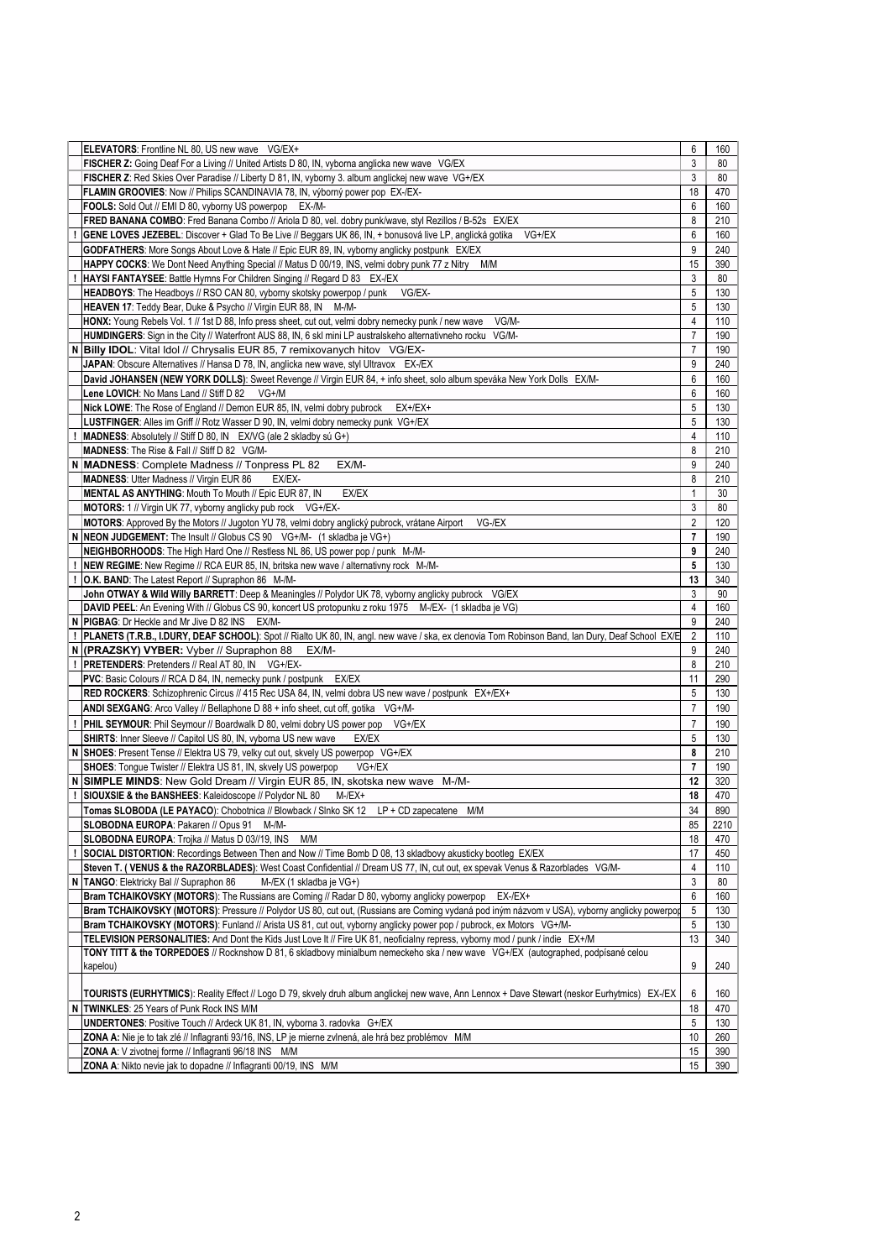|   | ELEVATORS: Frontline NL 80, US new wave VG/EX+                                                                                                   | 6              | 160  |
|---|--------------------------------------------------------------------------------------------------------------------------------------------------|----------------|------|
|   |                                                                                                                                                  |                |      |
|   | FISCHER Z: Going Deaf For a Living // United Artists D 80, IN, vyborna anglicka new wave VG/EX                                                   | 3              | 80   |
|   | FISCHER Z: Red Skies Over Paradise // Liberty D 81, IN, vyborny 3. album anglickej new wave VG+/EX                                               | 3              | 80   |
|   | FLAMIN GROOVIES: Now // Philips SCANDINAVIA 78, IN, výborný power pop EX-/EX-                                                                    | 18             | 470  |
|   | FOOLS: Sold Out // EMI D 80, vyborny US powerpop<br>EX-/M-                                                                                       | 6              | 160  |
|   | FRED BANANA COMBO: Fred Banana Combo // Ariola D 80, vel. dobry punk/wave, styl Rezillos / B-52s EX/EX                                           | 8              | 210  |
|   | GENE LOVES JEZEBEL: Discover + Glad To Be Live // Beggars UK 86, IN, + bonusová live LP, anglická gotika VG+/EX                                  | 6              | 160  |
|   | GODFATHERS: More Songs About Love & Hate // Epic EUR 89, IN, vyborny anglicky postpunk EX/EX                                                     | 9              | 240  |
|   | HAPPY COCKS: We Dont Need Anything Special // Matus D 00/19, INS, velmi dobry punk 77 z Nitry M/M                                                | 15             | 390  |
|   |                                                                                                                                                  |                |      |
|   | HAYSI FANTAYSEE: Battle Hymns For Children Singing // Regard D 83 EX-/EX                                                                         | 3              | 80   |
|   | HEADBOYS: The Headboys // RSO CAN 80, vyborny skotsky powerpop / punk<br>VG/EX-                                                                  | 5              | 130  |
|   | HEAVEN 17: Teddy Bear, Duke & Psycho // Virgin EUR 88, IN M-/M-                                                                                  | 5              | 130  |
|   | HONX: Young Rebels Vol. 1 // 1st D 88, Info press sheet, cut out, velmi dobry nemecky punk / new wave<br>VG/M-                                   | 4              | 110  |
|   | HUMDINGERS: Sign in the City // Waterfront AUS 88, IN, 6 skl mini LP australskeho alternativneho rocku VG/M-                                     | $\overline{7}$ | 190  |
| N | Billy IDOL: Vital Idol // Chrysalis EUR 85, 7 remixovanych hitov VG/EX-                                                                          | $\overline{7}$ | 190  |
|   | JAPAN: Obscure Alternatives // Hansa D 78, IN, anglicka new wave, styl Ultravox EX-/EX                                                           | 9              | 240  |
|   | David JOHANSEN (NEW YORK DOLLS): Sweet Revenge // Virgin EUR 84, + info sheet, solo album speváka New York Dolls EX/M-                           | 6              | 160  |
|   | Lene LOVICH: No Mans Land // Stiff D 82<br>VG+/M                                                                                                 | 6              | 160  |
|   | Nick LOWE: The Rose of England // Demon EUR 85, IN, velmi dobry pubrock<br>$EX+/EX+$                                                             | 5              | 130  |
|   |                                                                                                                                                  | 5              |      |
|   | LUSTFINGER: Alles im Griff // Rotz Wasser D 90, IN, velmi dobry nemecky punk VG+/EX                                                              |                | 130  |
|   | <b>MADNESS:</b> Absolutely // Stiff D 80, IN EX/VG (ale 2 skladby sú $G+$ )                                                                      | 4              | 110  |
|   | MADNESS: The Rise & Fall // Stiff D 82 VG/M-                                                                                                     | 8              | 210  |
|   | N MADNESS: Complete Madness // Tonpress PL 82<br>EX/M-                                                                                           | 9              | 240  |
|   | <b>MADNESS: Utter Madness // Virgin EUR 86</b><br>EX/EX-                                                                                         | 8              | 210  |
|   | EX/EX<br><b>MENTAL AS ANYTHING: Mouth To Mouth // Epic EUR 87, IN</b>                                                                            |                | 30   |
|   | <b>MOTORS:</b> 1 // Virgin UK 77, vyborny anglicky pub rock VG+/EX-                                                                              | 3              | 80   |
|   | MOTORS: Approved By the Motors // Jugoton YU 78, velmi dobry anglický pubrock, vrátane Airport<br>VG-/EX                                         | $\overline{2}$ | 120  |
|   | N   NEON JUDGEMENT: The Insult // Globus CS 90 $VG+/M-$ (1 skladba je VG+)                                                                       | $\overline{7}$ | 190  |
|   | NEIGHBORHOODS: The High Hard One // Restless NL 86, US power pop / punk M-/M-                                                                    | 9              | 240  |
|   | NEW REGIME: New Regime // RCA EUR 85, IN, britska new wave / alternativny rock M-/M-                                                             | 5              | 130  |
|   | <b>O.K. BAND:</b> The Latest Report // Supraphon 86 M-/M-                                                                                        | 13             | 340  |
|   |                                                                                                                                                  |                |      |
|   | John OTWAY & Wild Willy BARRETT: Deep & Meaningles // Polydor UK 78, vyborny anglicky pubrock VG/EX                                              | 3              | 90   |
|   | DAVID PEEL: An Evening With // Globus CS 90, koncert US protopunku z roku 1975 M-/EX- (1 skladba je VG)                                          | 4              | 160  |
|   | N   PIGBAG: Dr Heckle and Mr Jive D 82 INS EX/M-                                                                                                 | 9              | 240  |
|   | PLANETS (T.R.B., I.DURY, DEAF SCHOOL): Spot // Rialto UK 80, IN, angl. new wave / ska, ex clenovia Tom Robinson Band, Ian Dury, Deaf School EX/E | $\overline{2}$ | 110  |
|   | N (PRAZSKY) VYBER: Vyber // Supraphon 88<br>EX/M-                                                                                                | 9              | 240  |
|   | PRETENDERS: Pretenders // Real AT 80, IN VG+/EX-                                                                                                 | 8              | 210  |
|   | <b>PVC:</b> Basic Colours // RCA D 84, IN, nemecky punk / postpunk<br>EX/EX                                                                      | 11             | 290  |
|   | RED ROCKERS: Schizophrenic Circus // 415 Rec USA 84, IN, velmi dobra US new wave / postpunk EX+/EX+                                              | 5              | 130  |
|   | ANDI SEXGANG: Arco Valley // Bellaphone D 88 + info sheet, cut off, gotika VG+/M-                                                                | $\overline{7}$ | 190  |
|   | PHIL SEYMOUR: Phil Seymour // Boardwalk D 80, velmi dobry US power pop VG+/EX                                                                    | $\overline{7}$ | 190  |
|   | EX/EX                                                                                                                                            | 5              | 130  |
|   | SHIRTS: Inner Sleeve // Capitol US 80, IN, vyborna US new wave                                                                                   |                |      |
| N | SHOES: Present Tense // Elektra US 79, velky cut out, skvely US powerpop VG+/EX                                                                  | 8              | 210  |
|   | SHOES: Tongue Twister // Elektra US 81, IN, skvely US powerpop<br>VG+/EX                                                                         | $\overline{7}$ | 190  |
|   | SIMPLE MINDS: New Gold Dream // Virgin EUR 85, IN, skotska new wave M-/M-                                                                        | 12             | 320  |
|   | SIOUXSIE & the BANSHEES: Kaleidoscope // Polydor NL 80<br>$M$ -/EX+                                                                              | 18             | 470  |
|   | Tomas SLOBODA (LE PAYACO): Chobotnica // Blowback / Slnko SK 12 LP + CD zapecatene<br>M/M                                                        | 34             | 890  |
|   | SLOBODNA EUROPA: Pakaren // Opus 91 M-/M-                                                                                                        | 85             | 2210 |
|   | SLOBODNA EUROPA: Trojka // Matus D 03//19, INS<br>M/M                                                                                            | 18             | 470  |
|   | SOCIAL DISTORTION: Recordings Between Then and Now // Time Bomb D 08, 13 skladbovy akusticky bootleg EX/EX                                       | 17             | 450  |
|   | Steven T. (VENUS & the RAZORBLADES): West Coast Confidential // Dream US 77, IN, cut out, ex spevak Venus & Razorblades VG/M-                    | 4              | 110  |
|   | N   TANGO: Elektricky Bal // Supraphon 86<br>M-/EX (1 skladba je VG+)                                                                            | 3              | 80   |
|   | Bram TCHAIKOVSKY (MOTORS): The Russians are Coming // Radar D 80, vyborny anglicky powerpop<br>$EX-Z+$                                           | 6              | 160  |
|   | Bram TCHAIKOVSKY (MOTORS): Pressure // Polydor US 80, cut out, (Russians are Coming vydaná pod iným názvom v USA), vyborny anglicky powerpod     | 5              | 130  |
|   | Bram TCHAIKOVSKY (MOTORS): Funland // Arista US 81, cut out, vyborny anglicky power pop / pubrock, ex Motors VG+/M-                              | 5              | 130  |
|   | TELEVISION PERSONALITIES: And Dont the Kids Just Love It // Fire UK 81, neoficialny repress, vyborny mod / punk / indie EX+/M                    | 13             | 340  |
|   |                                                                                                                                                  |                |      |
|   | TONY TITT & the TORPEDOES // Rocknshow D 81, 6 skladbovy minialbum nemeckeho ska / new wave VG+/EX (autographed, podpísané celou                 |                |      |
|   | kapelou)                                                                                                                                         | 9              | 240  |
|   |                                                                                                                                                  |                |      |
|   | TOURISTS (EURHYTMICS): Reality Effect // Logo D 79, skvely druh album anglickej new wave, Ann Lennox + Dave Stewart (neskor Eurhytmics) EX-/EX   | 6              | 160  |
|   | N   TWINKLES: 25 Years of Punk Rock INS M/M                                                                                                      | 18             | 470  |
|   | UNDERTONES: Positive Touch // Ardeck UK 81, IN, vyborna 3. radovka G+/EX                                                                         | 5              | 130  |
|   | ZONA A: Nie je to tak zlé // Inflagranti 93/16, INS, LP je mierne zvlnená, ale hrá bez problémov M/M                                             | 10             | 260  |
|   | ZONA A: V zivotnej forme // Inflagranti 96/18 INS M/M                                                                                            | 15             | 390  |
|   | ZONA A: Nikto nevie jak to dopadne // Inflagranti 00/19, INS M/M                                                                                 | 15             | 390  |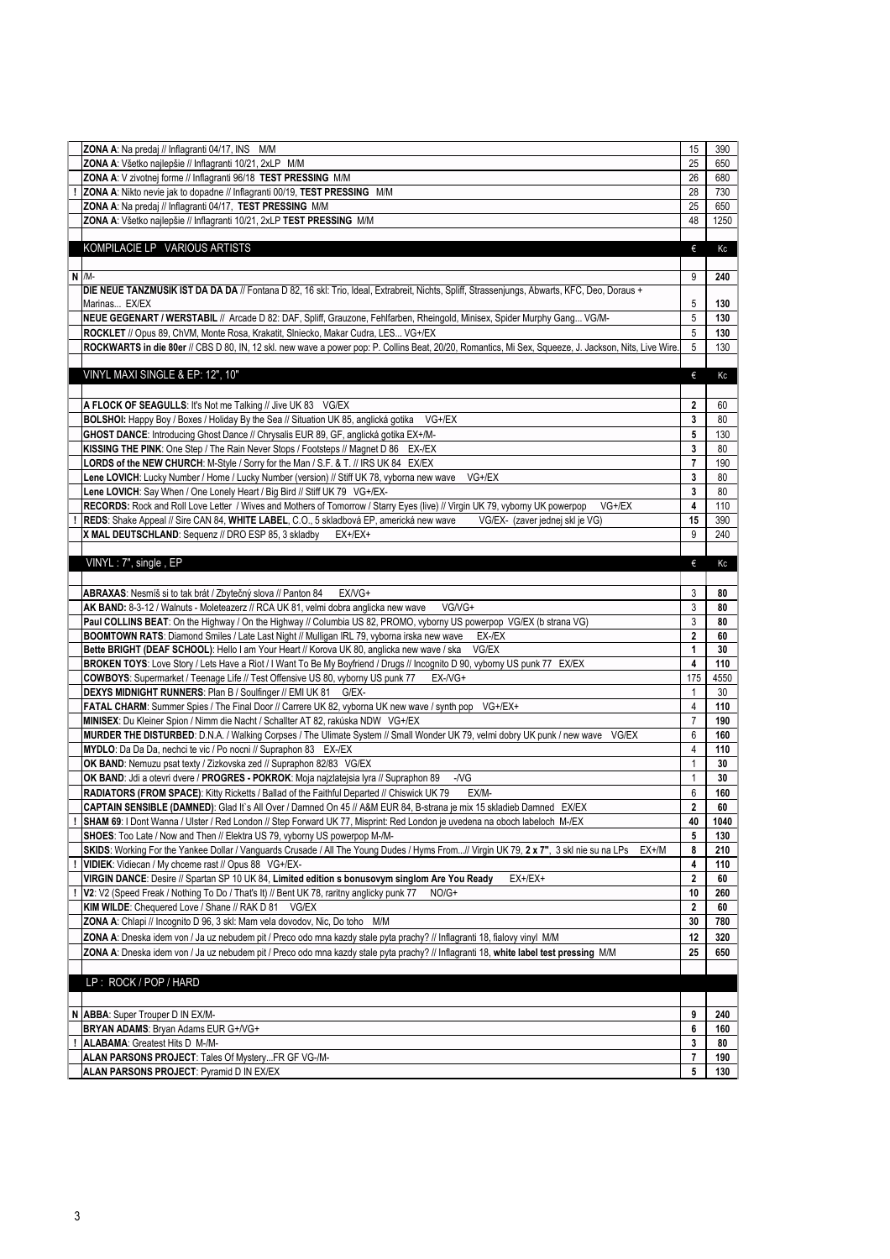| ZONA A: Na predaj // Inflagranti 04/17, INS M/M                                                                                                       | 15              | 390             |
|-------------------------------------------------------------------------------------------------------------------------------------------------------|-----------------|-----------------|
| ZONA A: Všetko najlepšie // Inflagranti 10/21, 2xLP M/M                                                                                               | 25              | 650             |
| ZONA A: V zivotnej forme // Inflagranti 96/18 TEST PRESSING M/M                                                                                       | 26              | 680             |
| ZONA A: Nikto nevie jak to dopadne // Inflagranti 00/19, TEST PRESSING M/M                                                                            | 28              | 730             |
| ZONA A: Na predaj // Inflagranti 04/17, TEST PRESSING M/M                                                                                             | 25              | 650             |
| ZONA A: Všetko najlepšie // Inflagranti 10/21, 2xLP TEST PRESSING M/M                                                                                 | 48              | 1250            |
|                                                                                                                                                       |                 |                 |
| KOMPILACIE LP VARIOUS ARTISTS                                                                                                                         | €               | Кc              |
|                                                                                                                                                       |                 |                 |
|                                                                                                                                                       |                 |                 |
| $N$ /M-                                                                                                                                               | 9               | 240             |
| DIE NEUE TANZMUSIK IST DA DA DA // Fontana D 82, 16 skl: Trio, Ideal, Extrabreit, Nichts, Spliff, Strassenjungs, Abwarts, KFC, Deo, Doraus +          |                 |                 |
| Marinas EX/EX                                                                                                                                         | 5               | 130             |
| NEUE GEGENART / WERSTABIL // Arcade D 82: DAF, Spliff, Grauzone, Fehlfarben, Rheingold, Minisex, Spider Murphy Gang VG/M-                             | 5               | 130             |
| ROCKLET // Opus 89, ChVM, Monte Rosa, Krakatit, Slniecko, Makar Cudra, LES VG+/EX                                                                     | 5               | 130             |
| ROCKWARTS in die 80er // CBS D 80, IN, 12 skl. new wave a power pop: P. Collins Beat, 20/20, Romantics, Mi Sex, Squeeze, J. Jackson, Nits, Live Wire. | 5               | 130             |
|                                                                                                                                                       |                 |                 |
| VINYL MAXI SINGLE & EP: 12", 10"                                                                                                                      | €               | Кc              |
|                                                                                                                                                       |                 |                 |
| A FLOCK OF SEAGULLS: It's Not me Talking // Jive UK 83 VG/EX                                                                                          | $\mathbf{2}$    | 60              |
| BOLSHOI: Happy Boy / Boxes / Holiday By the Sea // Situation UK 85, anglická gotika<br>VG+/EX                                                         | 3               | 80              |
| GHOST DANCE: Introducing Ghost Dance // Chrysalis EUR 89, GF, anglická gotika EX+/M-                                                                  | 5               | 130             |
| KISSING THE PINK: One Step / The Rain Never Stops / Footsteps // Magnet D 86 EX-/EX                                                                   | 3               | 80              |
| LORDS of the NEW CHURCH: M-Style / Sorry for the Man / S.F. & T. // IRS UK 84 EX/EX                                                                   | $\overline{7}$  | 190             |
| Lene LOVICH: Lucky Number / Home / Lucky Number (version) // Stiff UK 78, vyborna new wave<br>VG+/EX                                                  | 3               | 80              |
|                                                                                                                                                       |                 |                 |
| Lene LOVICH: Say When / One Lonely Heart / Big Bird // Stiff UK 79 VG+/EX-                                                                            | 3               | 80              |
| RECORDS: Rock and Roll Love Letter / Wives and Mothers of Tomorrow / Starry Eyes (live) // Virgin UK 79, vyborny UK powerpop<br>VG+/EX                | 4               | 110             |
| REDS: Shake Appeal // Sire CAN 84, WHITE LABEL, C.O., 5 skladbová EP, americká new wave<br>VG/EX- (zaver jednej skl je VG)                            | 15              | 390             |
| X MAL DEUTSCHLAND: Sequenz // DRO ESP 85, 3 skladby<br>$EX+/EX+$                                                                                      | 9               | 240             |
|                                                                                                                                                       |                 |                 |
| VINYL: 7", single, EP                                                                                                                                 | €               | Кc              |
|                                                                                                                                                       |                 |                 |
| ABRAXAS: Nesmíš si to tak brát / Zbytečný slova // Panton 84<br>EX/VG+                                                                                | 3               | 80              |
| AK BAND: 8-3-12 / Walnuts - Moleteazerz // RCA UK 81, velmi dobra anglicka new wave<br>VG/VG+                                                         | 3               | 80              |
| Paul COLLINS BEAT: On the Highway / On the Highway // Columbia US 82, PROMO, vyborny US powerpop VG/EX (b strana VG)                                  | 3               | 80              |
| BOOMTOWN RATS: Diamond Smiles / Late Last Night // Mulligan IRL 79, vyborna irska new wave<br>EX-/EX                                                  | $\overline{2}$  | 60              |
| Bette BRIGHT (DEAF SCHOOL): Hello I am Your Heart // Korova UK 80, anglicka new wave / ska<br>VG/EX                                                   | $\mathbf{1}$    | 30              |
| BROKEN TOYS: Love Story / Lets Have a Riot / I Want To Be My Boyfriend / Drugs // Incognito D 90, vyborny US punk 77 EX/EX                            | 4               | 110             |
| COWBOYS: Supermarket / Teenage Life // Test Offensive US 80, vyborny US punk 77<br>$EX-NG+$                                                           | 175             | 4550            |
| DEXYS MIDNIGHT RUNNERS: Plan B / Soulfinger // EMI UK 81<br>G/EX-                                                                                     |                 | 30              |
| FATAL CHARM: Summer Spies / The Final Door // Carrere UK 82, vyborna UK new wave / synth pop VG+/EX+                                                  | 4               | 110             |
| MINISEX: Du Kleiner Spion / Nimm die Nacht / Schallter AT 82, rakúska NDW VG+/EX                                                                      | $\overline{7}$  | 190             |
| MURDER THE DISTURBED: D.N.A. / Walking Corpses / The Ulimate System // Small Wonder UK 79, velmi dobry UK punk / new wave<br>VG/EX                    | 6               | 160             |
| MYDLO: Da Da Da, nechci te vic / Po nocni // Supraphon 83 EX-/EX                                                                                      | $\overline{4}$  | 110             |
| OK BAND: Nemuzu psat texty / Zizkovska zed // Supraphon 82/83 VG/EX                                                                                   | $\mathbf{1}$    | 30 <sup>°</sup> |
|                                                                                                                                                       |                 |                 |
| OK BAND: Jdi a otevri dvere / PROGRES - POKROK: Moja najzlatejsia lyra // Supraphon 89<br>$-NG$                                                       |                 | 30              |
| RADIATORS (FROM SPACE): Kitty Ricketts / Ballad of the Faithful Departed // Chiswick UK 79<br>EX/M-                                                   | 6               | 160             |
| CAPTAIN SENSIBLE (DAMNED): Glad It's All Over / Damned On 45 // A&M EUR 84, B-strana je mix 15 skladieb Damned EX/EX                                  | $\mathbf{2}$    | 60              |
| SHAM 69: I Dont Wanna / Ulster / Red London // Step Forward UK 77, Misprint: Red London je uvedena na oboch labeloch M-/EX                            | 40              | 1040            |
| SHOES: Too Late / Now and Then // Elektra US 79, vyborny US powerpop M-/M-                                                                            | $5\phantom{.0}$ | 130             |
| SKIDS: Working For the Yankee Dollar / Vanguards Crusade / All The Young Dudes / Hyms From// Virgin UK 79, 2 x 7", 3 skl nie su na LPs<br>EX+/M       | 8               | 210             |
| VIDIEK: Vidiecan / My chceme rast // Opus 88 VG+/EX-                                                                                                  | 4               | 110             |
| VIRGIN DANCE: Desire // Spartan SP 10 UK 84, Limited edition s bonusovym singlom Are You Ready<br>$EX+/EX+$                                           | $\overline{2}$  | 60              |
| V2: V2 (Speed Freak / Nothing To Do / That's It) // Bent UK 78, raritny anglicky punk 77<br>$NO/G+$                                                   | 10              | 260             |
| KIM WILDE: Chequered Love / Shane // RAK D 81<br>VG/EX                                                                                                | $\overline{2}$  | 60              |
| <b>ZONA A:</b> Chlapi // Incognito D 96, 3 skl: Mam vela dovodov, Nic, Do toho M/M                                                                    | 30              | 780             |
| ZONA A: Dneska idem von / Ja uz nebudem pit / Preco odo mna kazdy stale pyta prachy? // Inflagranti 18, fialovy vinyl M/M                             | 12              | 320             |
| ZONA A: Dneska idem von / Ja uz nebudem pit / Preco odo mna kazdy stale pyta prachy? // Inflagranti 18, white label test pressing M/M                 | 25              | 650             |
|                                                                                                                                                       |                 |                 |
| LP : ROCK / POP / HARD                                                                                                                                |                 |                 |
|                                                                                                                                                       |                 |                 |
|                                                                                                                                                       |                 |                 |
| N   ABBA: Super Trouper D IN EX/M-                                                                                                                    | 9               | 240             |
| BRYAN ADAMS: Bryan Adams EUR G+/VG+                                                                                                                   | 6               | 160             |
| <b>ALABAMA: Greatest Hits D M-/M-</b>                                                                                                                 | 3               | 80              |
| ALAN PARSONS PROJECT: Tales Of MysteryFR GF VG-/M-                                                                                                    | $\overline{7}$  | 190             |
| ALAN PARSONS PROJECT: Pyramid D IN EX/EX                                                                                                              | 5               | 130             |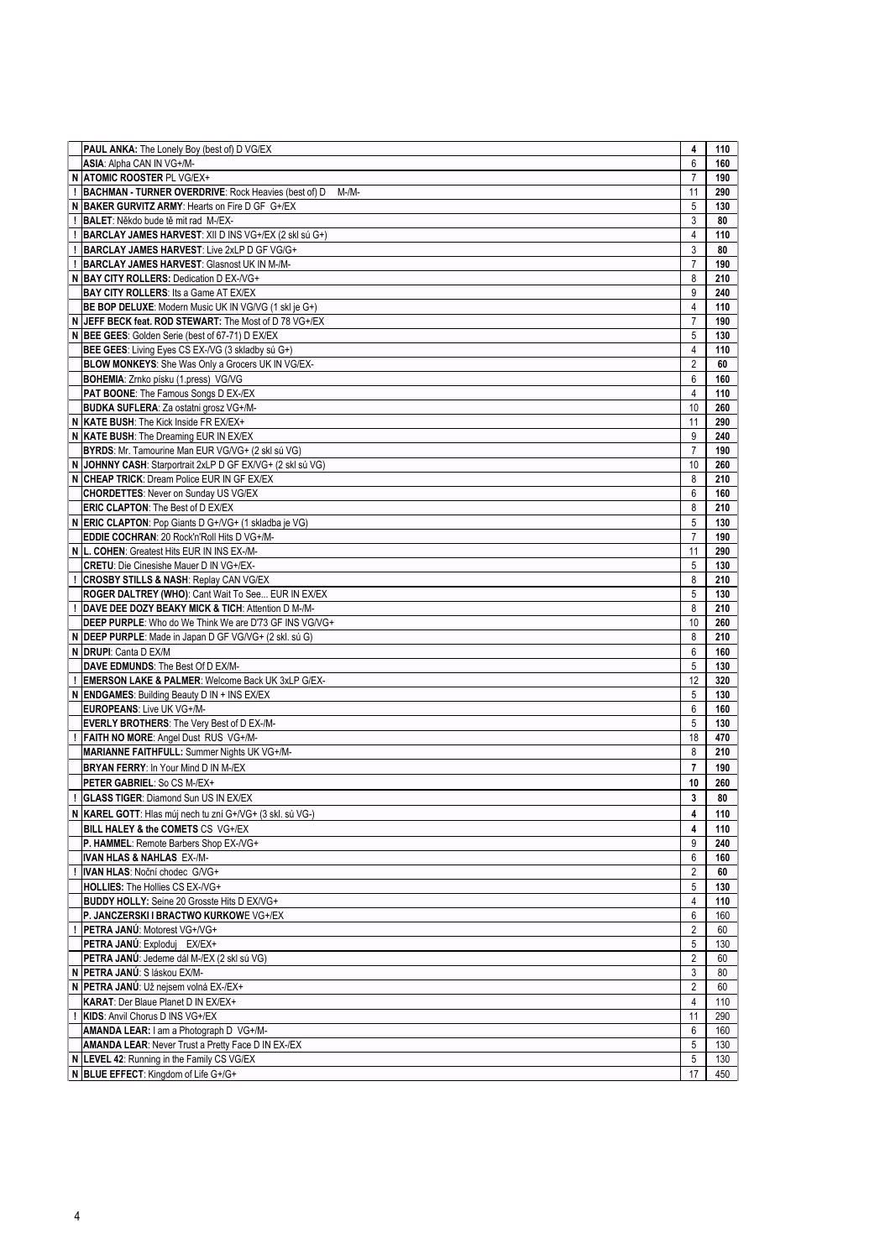| PAUL ANKA: The Lonely Boy (best of) D VG/EX                           | 4              | 110 |
|-----------------------------------------------------------------------|----------------|-----|
| ASIA: Alpha CAN IN VG+/M-                                             | 6              | 160 |
| N ATOMIC ROOSTER PL VG/EX+                                            | $\overline{7}$ | 190 |
| <b>BACHMAN - TURNER OVERDRIVE: Rock Heavies (best of) D</b><br>$M-M-$ | 11             | 290 |
|                                                                       |                |     |
| N BAKER GURVITZ ARMY: Hearts on Fire D GF G+/EX                       | 5              | 130 |
| BALET: Někdo bude tě mit rad M-/EX-                                   | 3              | 80  |
| BARCLAY JAMES HARVEST: XII D INS VG+/EX (2 skl sú G+)                 | 4              | 110 |
| <b>BARCLAY JAMES HARVEST: Live 2xLP D GF VG/G+</b>                    | 3              | 80  |
| BARCLAY JAMES HARVEST: Glasnost UK IN M-/M-                           | $\overline{7}$ | 190 |
| N BAY CITY ROLLERS: Dedication D EX-NG+                               | 8              | 210 |
|                                                                       |                |     |
| <b>BAY CITY ROLLERS: Its a Game AT EX/EX</b>                          | 9              | 240 |
| BE BOP DELUXE: Modern Music UK IN VG/VG (1 skl je G+)                 | 4              | 110 |
| N JEFF BECK feat. ROD STEWART: The Most of D 78 VG+/EX                | $\overline{7}$ | 190 |
| N BEE GEES: Golden Serie (best of 67-71) D EX/EX                      | 5              | 130 |
| BEE GEES: Living Eyes CS EX-/VG (3 skladby sú G+)                     | 4              | 110 |
| BLOW MONKEYS: She Was Only a Grocers UK IN VG/EX-                     | $\overline{2}$ | 60  |
|                                                                       |                |     |
| BOHEMIA: Zrnko písku (1.press) VG/VG                                  | 6              | 160 |
| PAT BOONE: The Famous Songs D EX-/EX                                  | $\overline{4}$ | 110 |
| BUDKA SUFLERA: Za ostatni grosz VG+/M-                                | 10             | 260 |
| N KATE BUSH: The Kick Inside FR EX/EX+                                | 11             | 290 |
| N KATE BUSH: The Dreaming EUR IN EX/EX                                | 9              | 240 |
| BYRDS: Mr. Tamourine Man EUR VG/VG+ (2 skl sú VG)                     | $\overline{7}$ | 190 |
|                                                                       |                |     |
| N JOHNNY CASH: Starportrait 2xLP D GF EX/VG+ (2 skl sú VG)            | 10             | 260 |
| N CHEAP TRICK: Dream Police EUR IN GF EX/EX                           | 8              | 210 |
| <b>CHORDETTES: Never on Sunday US VG/EX</b>                           | 6              | 160 |
| <b>ERIC CLAPTON: The Best of D EX/EX</b>                              | 8              | 210 |
| N ERIC CLAPTON: Pop Giants D G+/VG+ (1 skladba je VG)                 | 5              | 130 |
| EDDIE COCHRAN: 20 Rock'n'Roll Hits D VG+/M-                           | $\overline{7}$ | 190 |
| N L. COHEN: Greatest Hits EUR IN INS EX-/M-                           | 11             | 290 |
|                                                                       |                |     |
| <b>CRETU:</b> Die Cinesishe Mauer D IN VG+/EX-                        | 5              | 130 |
| <b>CROSBY STILLS &amp; NASH: Replay CAN VG/EX</b>                     | 8              | 210 |
| ROGER DALTREY (WHO): Cant Wait To See EUR IN EX/EX                    | 5              | 130 |
| DAVE DEE DOZY BEAKY MICK & TICH: Attention D M-/M-                    | 8              | 210 |
| DEEP PURPLE: Who do We Think We are D'73 GF INS VG/VG+                | 10             | 260 |
| N DEEP PURPLE: Made in Japan D GF VG/VG+ (2 skl. sú G)                | 8              | 210 |
|                                                                       |                |     |
| N DRUPI: Canta D EX/M                                                 | 6              | 160 |
| DAVE EDMUNDS: The Best Of D EX/M-                                     | 5              | 130 |
| <b>EMERSON LAKE &amp; PALMER: Welcome Back UK 3xLP G/EX-</b>          | 12             | 320 |
| N ENDGAMES: Building Beauty D IN + INS EX/EX                          | 5              | 130 |
| <b>EUROPEANS: Live UK VG+/M-</b>                                      | 6              | 160 |
| <b>EVERLY BROTHERS:</b> The Very Best of D EX-/M-                     | 5              | 130 |
|                                                                       |                |     |
| FAITH NO MORE: Angel Dust RUS VG+/M-                                  | 18             | 470 |
| MARIANNE FAITHFULL: Summer Nights UK VG+/M-                           | 8              | 210 |
| <b>BRYAN FERRY: In Your Mind D IN M-/EX</b>                           | $\overline{7}$ | 190 |
| PETER GABRIEL: So CS M-/EX+                                           | 10             | 260 |
| <b>GLASS TIGER: Diamond Sun US IN EX/EX</b>                           | $\mathbf{3}$   | 80  |
|                                                                       |                |     |
| N   KAREL GOTT: Hlas múj nech tu zní G+/VG+ (3 skl. sú VG-)           | 4              | 110 |
| BILL HALEY & the COMETS CS VG+/EX                                     | 4              | 110 |
| P. HAMMEL: Remote Barbers Shop EX-/VG+                                | 9              | 240 |
| <b>IVAN HLAS &amp; NAHLAS EX-/M-</b>                                  | 6              | 160 |
| <b>IVAN HLAS: Noční chodec G/VG+</b>                                  | $\overline{2}$ | 60  |
| HOLLIES: The Hollies CS EX-/VG+                                       | 5              | 130 |
|                                                                       |                |     |
| <b>BUDDY HOLLY:</b> Seine 20 Grosste Hits D EX/VG+                    | $\overline{4}$ | 110 |
| P. JANCZERSKI I BRACTWO KURKOWE VG+/EX                                | 6              | 160 |
| PETRA JANÚ: Motorest VG+/VG+                                          | $\overline{2}$ | 60  |
| PETRA JANÚ: Exploduj EX/EX+                                           | 5              | 130 |
| PETRA JANÚ: Jedeme dál M-/EX (2 skl sú VG)                            | $\overline{2}$ | 60  |
| N PETRA JANÚ: S láskou EX/M-                                          | 3              | 80  |
|                                                                       | $\overline{2}$ |     |
| N PETRA JANÚ: Už nejsem volná EX-/EX+                                 |                | 60  |
| <b>KARAT: Der Blaue Planet D IN EX/EX+</b>                            | $\overline{4}$ | 110 |
| KIDS: Anvil Chorus D INS VG+/EX                                       | 11             | 290 |
| AMANDA LEAR: I am a Photograph D VG+/M-                               | 6              | 160 |
| <b>AMANDA LEAR: Never Trust a Pretty Face D IN EX-/EX</b>             | 5              | 130 |
| N LEVEL 42: Running in the Family CS VG/EX                            | 5              | 130 |
|                                                                       |                |     |
| N BLUE EFFECT: Kingdom of Life G+/G+                                  | 17             | 450 |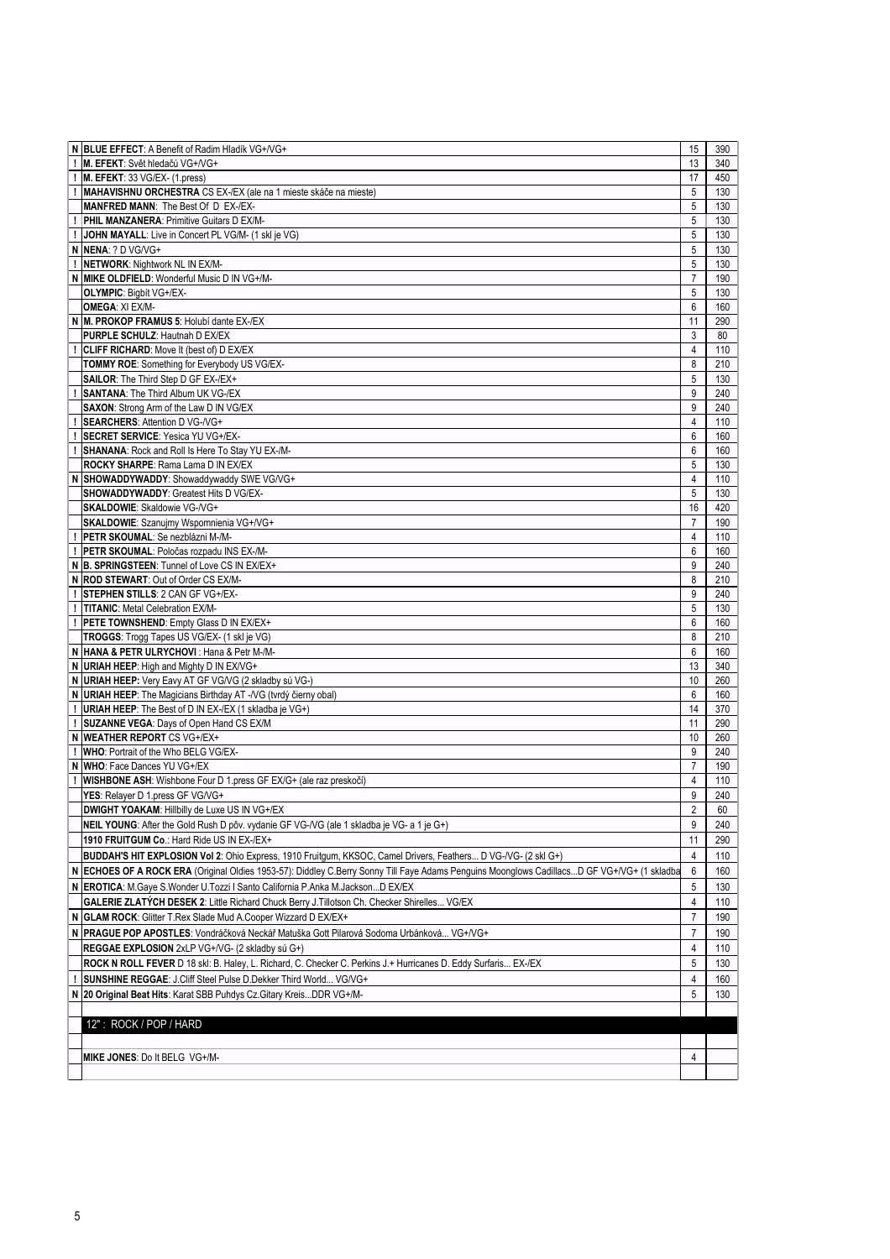| N BLUE EFFECT: A Benefit of Radim Hladík VG+/VG+                                                                                            | 15             | 390 |
|---------------------------------------------------------------------------------------------------------------------------------------------|----------------|-----|
| M. EFEKT: Svět hledačú VG+/VG+                                                                                                              | 13             | 340 |
| M. EFEKT: 33 VG/EX- (1.press)                                                                                                               | 17             | 450 |
| MAHAVISHNU ORCHESTRA CS EX-/EX (ale na 1 mieste skáče na mieste)                                                                            | 5              | 130 |
|                                                                                                                                             |                |     |
| MANFRED MANN: The Best Of D EX-/EX-                                                                                                         | 5              | 130 |
| PHIL MANZANERA: Primitive Guitars D EX/M-                                                                                                   | 5              | 130 |
| JOHN MAYALL: Live in Concert PL VG/M- (1 skl je VG)                                                                                         | 5              | 130 |
| N NENA: ? D VG/VG+                                                                                                                          | 5              | 130 |
|                                                                                                                                             |                |     |
| NETWORK: Nightwork NL IN EX/M-                                                                                                              | 5              | 130 |
| <b>MIKE OLDFIELD:</b> Wonderful Music D IN VG+/M-                                                                                           | $\overline{7}$ | 190 |
| <b>OLYMPIC: Bigbit VG+/EX-</b>                                                                                                              | 5              | 130 |
|                                                                                                                                             |                |     |
| <b>OMEGA: XI EX/M-</b>                                                                                                                      | 6              | 160 |
| N M. PROKOP FRAMUS 5: Holubí dante EX-/EX                                                                                                   | 11             | 290 |
| PURPLE SCHULZ: Hautnah D EX/EX                                                                                                              | 3              | 80  |
| <b>CLIFF RICHARD:</b> Move It (best of) D EX/EX                                                                                             | 4              | 110 |
|                                                                                                                                             |                |     |
| <b>TOMMY ROE: Something for Everybody US VG/EX-</b>                                                                                         | 8              | 210 |
| SAILOR: The Third Step D GF EX-/EX+                                                                                                         | 5              | 130 |
| <b>SANTANA: The Third Album UK VG-/EX</b>                                                                                                   | 9              | 240 |
| <b>SAXON:</b> Strong Arm of the Law D IN VG/EX                                                                                              | 9              | 240 |
|                                                                                                                                             |                |     |
| <b>SEARCHERS: Attention D VG-/VG+</b>                                                                                                       | $\overline{4}$ | 110 |
| <b>SECRET SERVICE:</b> Yesica YU VG+/EX-                                                                                                    | 6              | 160 |
| SHANANA: Rock and Roll Is Here To Stay YU EX-/M-                                                                                            | 6              | 160 |
| ROCKY SHARPE: Rama Lama D IN EX/EX                                                                                                          | 5              | 130 |
|                                                                                                                                             |                |     |
| N SHOWADDYWADDY: Showaddywaddy SWE VG/VG+                                                                                                   | 4              | 110 |
| <b>SHOWADDYWADDY: Greatest Hits D VG/EX-</b>                                                                                                | 5              | 130 |
| <b>SKALDOWIE: Skaldowie VG-/VG+</b>                                                                                                         | 16             | 420 |
| <b>SKALDOWIE:</b> Szanujmy Wspomnienia VG+/VG+                                                                                              | $\overline{7}$ | 190 |
|                                                                                                                                             |                |     |
| PETR SKOUMAL: Se nezblázni M-/M-                                                                                                            | $\overline{4}$ | 110 |
| PETR SKOUMAL: Poločas rozpadu INS EX-/M-                                                                                                    | 6              | 160 |
| N B. SPRINGSTEEN: Tunnel of Love CS IN EX/EX+                                                                                               | 9              | 240 |
| N ROD STEWART: Out of Order CS EX/M-                                                                                                        | 8              | 210 |
|                                                                                                                                             |                |     |
| <b>STEPHEN STILLS: 2 CAN GF VG+/EX-</b>                                                                                                     | 9              | 240 |
| !   TITANIC: Metal Celebration EX/M-                                                                                                        | 5              | 130 |
| PETE TOWNSHEND: Empty Glass D IN EX/EX+                                                                                                     | 6              | 160 |
| TROGGS: Trogg Tapes US VG/EX- (1 skl je VG)                                                                                                 | 8              | 210 |
|                                                                                                                                             |                |     |
| N  HANA & PETR ULRYCHOVI : Hana & Petr M-/M-                                                                                                | 6              | 160 |
| N URIAH HEEP: High and Mighty D IN EX/VG+                                                                                                   | 13             | 340 |
| URIAH HEEP: Very Eavy AT GF VG/VG (2 skladby sú VG-)                                                                                        | 10             | 260 |
| N URIAH HEEP: The Magicians Birthday AT -/VG (tvrdý čierny obal)                                                                            | 6              | 160 |
|                                                                                                                                             |                |     |
| <b>URIAH HEEP:</b> The Best of D IN EX-/EX (1 skladba je VG+)                                                                               | 14             | 370 |
| <b>SUZANNE VEGA: Days of Open Hand CS EX/M</b>                                                                                              | 11             | 290 |
| N WEATHER REPORT CS VG+/EX+                                                                                                                 | 10             | 260 |
| WHO: Portrait of the Who BELG VG/EX-                                                                                                        | 9              | 240 |
|                                                                                                                                             |                |     |
| N WHO: Face Dances YU VG+/EX                                                                                                                | $\overline{7}$ | 190 |
| WISHBONE ASH: Wishbone Four D 1.press GF EX/G+ (ale raz preskočí)                                                                           | 4              | 110 |
| YES: Relayer D 1.press GF VG/VG+                                                                                                            | 9              | 240 |
| <b>DWIGHT YOAKAM: Hillbilly de Luxe US IN VG+/EX</b>                                                                                        | $\overline{2}$ | 60  |
|                                                                                                                                             |                |     |
| NEIL YOUNG: After the Gold Rush D pôv. vydanie GF VG-/VG (ale 1 skladba je VG- a 1 je G+)                                                   | 9              | 240 |
| 1910 FRUITGUM Co.: Hard Ride US IN EX-/EX+                                                                                                  | 11             | 290 |
| BUDDAH'S HIT EXPLOSION Vol 2: Ohio Express, 1910 Fruitgum, KKSOC, Camel Drivers, Feathers D VG-/VG- (2 skl G+)                              | $\overline{4}$ | 110 |
|                                                                                                                                             |                |     |
| N ECHOES OF A ROCK ERA (Original Oldies 1953-57): Diddley C.Berry Sonny Till Faye Adams Penguins Moonglows CadillacsD GF VG+/VG+ (1 skladba | 6              | 160 |
| N   EROTICA: M.Gaye S.Wonder U.Tozzi I Santo California P.Anka M.JacksonD EX/EX                                                             | 5              | 130 |
| GALERIE ZLATÝCH DESEK 2: Little Richard Chuck Berry J. Tillotson Ch. Checker Shirelles VG/EX                                                | 4              | 110 |
|                                                                                                                                             |                |     |
| N GLAM ROCK: Glitter T.Rex Slade Mud A.Cooper Wizzard D EX/EX+                                                                              | 7              | 190 |
| N PRAGUE POP APOSTLES: Vondráčková Neckář Matuška Gott Pilarová Sodoma Urbánková VG+/VG+                                                    | $\overline{7}$ | 190 |
| REGGAE EXPLOSION 2xLP VG+/VG- (2 skladby sú G+)                                                                                             | 4              | 110 |
|                                                                                                                                             |                |     |
| ROCK N ROLL FEVER D 18 skl: B. Haley, L. Richard, C. Checker C. Perkins J.+ Hurricanes D. Eddy Surfaris EX-/EX                              | 5              | 130 |
| <b>SUNSHINE REGGAE: J.Cliff Steel Pulse D.Dekker Third World VG/VG+</b>                                                                     | 4              | 160 |
| N   20 Original Beat Hits: Karat SBB Puhdys Cz. Gitary Kreis DDR VG+/M-                                                                     | 5              | 130 |
|                                                                                                                                             |                |     |
|                                                                                                                                             |                |     |
| 12": ROCK / POP / HARD                                                                                                                      |                |     |
|                                                                                                                                             |                |     |
|                                                                                                                                             |                |     |
| MIKE JONES: Do It BELG VG+/M-                                                                                                               | 4              |     |
|                                                                                                                                             |                |     |
|                                                                                                                                             |                |     |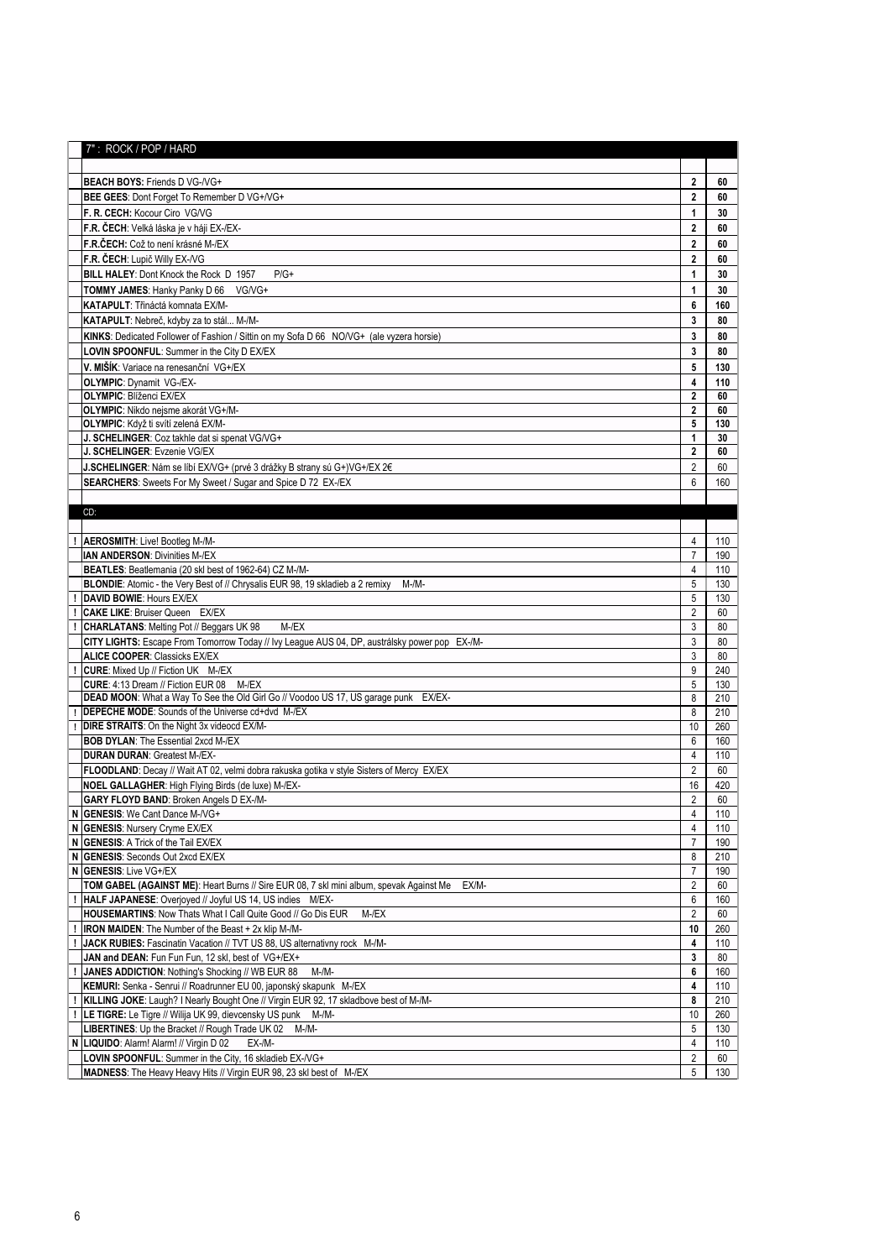|   | 7": ROCK / POP / HARD                                                                                                           |                         |            |
|---|---------------------------------------------------------------------------------------------------------------------------------|-------------------------|------------|
|   |                                                                                                                                 |                         |            |
|   | BEACH BOYS: Friends D VG-/VG+                                                                                                   | $\mathbf{2}$            | 60         |
|   | BEE GEES: Dont Forget To Remember D VG+/VG+                                                                                     | $\mathbf{2}$            | 60         |
|   | F. R. CECH: Kocour Ciro VG/VG                                                                                                   | 1                       | 30         |
|   | F.R. ČECH: Velká láska je v háji EX-/EX-                                                                                        | $\mathbf 2$             | 60         |
|   | F.R.ČECH: Což to není krásné M-/EX                                                                                              | $\mathbf{2}$            | 60         |
|   | F.R. ČECH: Lupič Willy EX-/VG                                                                                                   | $\overline{\mathbf{2}}$ | 60         |
|   | BILL HALEY: Dont Knock the Rock D 1957<br>$P/G+$                                                                                | 1                       | 30         |
|   | <b>TOMMY JAMES: Hanky Panky D 66</b><br>VG/VG+                                                                                  | 1                       | 30         |
|   | KATAPULT: Třináctá komnata EX/M-                                                                                                | 6                       | 160        |
|   | KATAPULT: Nebreč, kdyby za to stál M-/M-                                                                                        | 3                       | 80         |
|   | KINKS: Dedicated Follower of Fashion / Sittin on my Sofa D 66 NO/VG+ (ale vyzera horsie)                                        | 3                       | 80         |
|   | LOVIN SPOONFUL: Summer in the City D EX/EX                                                                                      | 3                       | 80         |
|   | V. MIŠÍK: Variace na renesanční VG+/EX                                                                                          |                         |            |
|   |                                                                                                                                 | 5                       | 130        |
|   | <b>OLYMPIC:</b> Dynamit VG-/EX-<br><b>OLYMPIC: Blíženci EX/EX</b>                                                               | 4<br>$\overline{2}$     | 110<br>60  |
|   | OLYMPIC: Nikdo nejsme akorát VG+/M-                                                                                             | $\overline{2}$          | 60         |
|   | OLYMPIC: Když ti svítí zelená EX/M-                                                                                             | 5                       | 130        |
|   | J. SCHELINGER: Coz takhle dat si spenat VG/VG+                                                                                  | $\mathbf{1}$            | 30         |
|   | J. SCHELINGER: Evzenie VG/EX                                                                                                    | $\mathbf{2}$            | 60         |
|   | J.SCHELINGER: Nám se líbí EX/VG+ (prvé 3 drážky B strany sú G+)VG+/EX 2€                                                        | $\overline{2}$          | 60         |
|   | <b>SEARCHERS:</b> Sweets For My Sweet / Sugar and Spice D 72 EX-/EX                                                             | 6                       | 160        |
|   |                                                                                                                                 |                         |            |
|   | CD:                                                                                                                             |                         |            |
|   |                                                                                                                                 |                         |            |
|   | <b>AEROSMITH: Live! Bootleg M-/M-</b>                                                                                           | 4                       | 110        |
|   | <b>IAN ANDERSON: Divinities M-/EX</b>                                                                                           | $\overline{7}$          | 190        |
|   | BEATLES: Beatlemania (20 skl best of 1962-64) CZ M-/M-                                                                          | 4                       | 110        |
|   | BLONDIE: Atomic - the Very Best of // Chrysalis EUR 98, 19 skladieb a 2 remixy<br>$M-M-$                                        | 5                       | 130        |
|   | DAVID BOWIE: Hours EX/EX                                                                                                        | 5                       | 130        |
|   | <b>CAKE LIKE: Bruiser Queen EX/EX</b>                                                                                           | $\sqrt{2}$              | 60         |
|   | <b>CHARLATANS: Melting Pot // Beggars UK 98</b><br>$M$ -/EX                                                                     | 3                       | 80         |
|   | CITY LIGHTS: Escape From Tomorrow Today // Ivy League AUS 04, DP, austrálsky power pop EX-/M-                                   | 3                       | 80         |
|   | <b>ALICE COOPER: Classicks EX/EX</b>                                                                                            | 3                       | 80         |
|   | <b>CURE:</b> Mixed Up // Fiction UK M-/EX<br>CURE: 4:13 Dream // Fiction EUR 08 M-/EX                                           | 9<br>5                  | 240<br>130 |
|   | <b>DEAD MOON:</b> What a Way To See the Old Girl Go // Voodoo US 17, US garage punk EX/EX-                                      | 8                       | 210        |
|   | <b>DEPECHE MODE:</b> Sounds of the Universe cd+dvd M-/EX                                                                        | 8                       | 210        |
|   | <b>DIRE STRAITS:</b> On the Night 3x videocd EX/M-                                                                              | 10                      | 260        |
|   | <b>BOB DYLAN: The Essential 2xcd M-/EX</b>                                                                                      | 6                       | 160        |
|   | <b>DURAN DURAN: Greatest M-/EX-</b>                                                                                             | 4                       | 110        |
|   | FLOODLAND: Decay // Wait AT 02, velmi dobra rakuska gotika v style Sisters of Mercy EX/EX                                       | $\overline{2}$          | 60         |
|   | NOEL GALLAGHER: High Flying Birds (de luxe) M-/EX-                                                                              | 16                      | 420        |
|   | <b>GARY FLOYD BAND: Broken Angels D EX-/M-</b>                                                                                  | $\overline{2}$          | 60         |
| N | <b>GENESIS: We Cant Dance M-/VG+</b>                                                                                            | 4                       | 110        |
|   | N GENESIS: Nursery Cryme EX/EX                                                                                                  | 4                       | 110        |
|   | N GENESIS: A Trick of the Tail EX/EX                                                                                            | $\overline{7}$          | 190        |
|   | <b>GENESIS: Seconds Out 2xcd EX/EX</b>                                                                                          | 8                       | 210        |
| N | <b>GENESIS: Live VG+/EX</b>                                                                                                     | $\overline{7}$          | 190        |
|   | TOM GABEL (AGAINST ME): Heart Burns // Sire EUR 08, 7 skl mini album, spevak Against Me<br>EX/M-                                | $\overline{2}$          | 60         |
|   | HALF JAPANESE: Overjoyed // Joyful US 14, US indies M/EX-                                                                       | 6                       | 160        |
|   | HOUSEMARTINS: Now Thats What I Call Quite Good // Go Dis EUR<br>M-/EX                                                           | $\overline{2}$          | 60         |
|   | <b>IRON MAIDEN:</b> The Number of the Beast + 2x klip M-/M-                                                                     | 10                      | 260        |
|   | JACK RUBIES: Fascinatin Vacation // TVT US 88, US alternativny rock M-/M-                                                       | 4                       | 110        |
|   | JAN and DEAN: Fun Fun Fun, 12 skl, best of VG+/EX+                                                                              | 3<br>6                  | 80<br>160  |
|   | JANES ADDICTION: Nothing's Shocking // WB EUR 88<br>M-/M-<br>KEMURI: Senka - Senrui // Roadrunner EU 00, japonský skapunk M-/EX | 4                       | 110        |
|   | KILLING JOKE: Laugh? I Nearly Bought One // Virgin EUR 92, 17 skladbove best of M-/M-                                           | 8                       | 210        |
|   | LE TIGRE: Le Tigre // Wilija UK 99, dievcensky US punk M-/M-                                                                    | 10                      | 260        |
|   | LIBERTINES: Up the Bracket // Rough Trade UK 02 M-/M-                                                                           | 5                       | 130        |
|   | N   LIQUIDO: Alarm! Alarm! // Virgin D 02<br>$EX-M-$                                                                            | 4                       | 110        |
|   | LOVIN SPOONFUL: Summer in the City, 16 skladieb EX-/VG+                                                                         | 2                       | 60         |
|   | MADNESS: The Heavy Heavy Hits // Virgin EUR 98, 23 skl best of M-/EX                                                            | 5                       | 130        |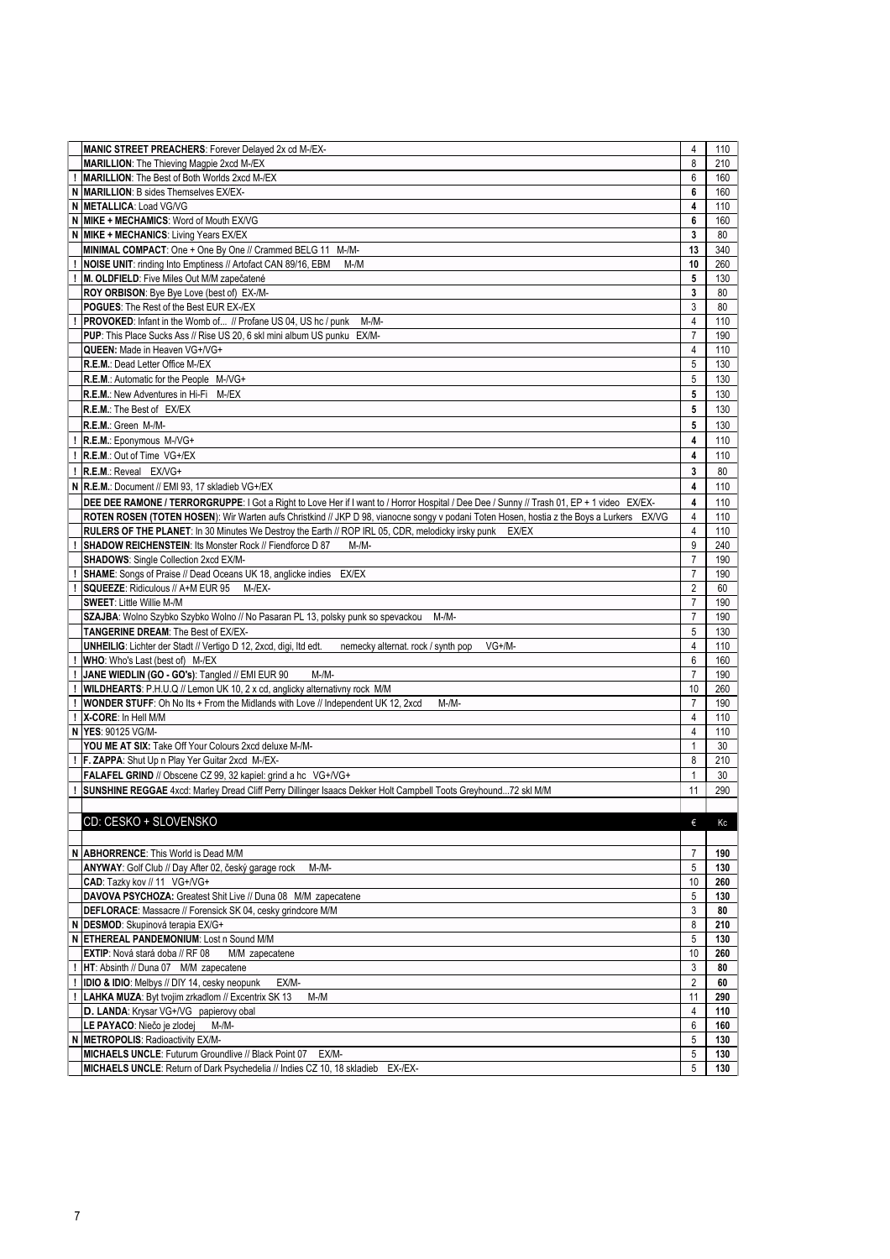|   | MANIC STREET PREACHERS: Forever Delayed 2x cd M-/EX-                                                                                       | 4                       | 110 |
|---|--------------------------------------------------------------------------------------------------------------------------------------------|-------------------------|-----|
|   | MARILLION: The Thieving Magpie 2xcd M-/EX                                                                                                  | 8                       | 210 |
|   | <b>MARILLION:</b> The Best of Both Worlds 2xcd M-/EX                                                                                       | 6                       | 160 |
|   |                                                                                                                                            |                         |     |
| N | MARILLION: B sides Themselves EX/EX-                                                                                                       | 6                       | 160 |
|   | N METALLICA: Load VG/VG                                                                                                                    | $\overline{\mathbf{4}}$ | 110 |
|   | N MIKE + MECHAMICS: Word of Mouth EX/VG                                                                                                    | 6                       | 160 |
|   | N MIKE + MECHANICS: Living Years EX/EX                                                                                                     | $\mathbf{3}$            | 80  |
|   |                                                                                                                                            |                         |     |
|   | MINIMAL COMPACT: One + One By One // Crammed BELG 11 M-/M-                                                                                 | 13                      | 340 |
|   | NOISE UNIT: rinding Into Emptiness // Artofact CAN 89/16, EBM<br>$M-M$                                                                     | 10                      | 260 |
|   | M. OLDFIELD: Five Miles Out M/M zapečatené                                                                                                 | 5                       | 130 |
|   |                                                                                                                                            |                         |     |
|   | ROY ORBISON: Bye Bye Love (best of) EX-/M-                                                                                                 | $\mathbf{3}$            | 80  |
|   | POGUES: The Rest of the Best EUR EX-/EX                                                                                                    | 3                       | 80  |
|   | <b>PROVOKED:</b> Infant in the Womb of // Profane US 04, US hc / punk<br>$M-M-$                                                            | 4                       | 110 |
|   |                                                                                                                                            |                         |     |
|   | PUP: This Place Sucks Ass // Rise US 20, 6 skl mini album US punku EX/M-                                                                   | $\overline{7}$          | 190 |
|   | QUEEN: Made in Heaven VG+/VG+                                                                                                              | 4                       | 110 |
|   | R.E.M.: Dead Letter Office M-/EX                                                                                                           | 5                       | 130 |
|   |                                                                                                                                            |                         |     |
|   | R.E.M.: Automatic for the People M-/VG+                                                                                                    | 5                       | 130 |
|   | <b>R.E.M.: New Adventures in Hi-Fi</b> M-/EX                                                                                               | 5                       | 130 |
|   | R.E.M.: The Best of EX/EX                                                                                                                  | 5                       | 130 |
|   |                                                                                                                                            |                         |     |
|   | R.E.M.: Green M-/M-                                                                                                                        | 5                       | 130 |
|   | R.E.M.: Eponymous M-/VG+                                                                                                                   | 4                       | 110 |
|   |                                                                                                                                            |                         |     |
|   | R.E.M.: Out of Time VG+/EX                                                                                                                 | 4                       | 110 |
|   | R.E.M.: Reveal EX/VG+                                                                                                                      | 3                       | 80  |
|   | N R.E.M.: Document // EMI 93, 17 skladieb VG+/EX                                                                                           | 4                       | 110 |
|   |                                                                                                                                            |                         |     |
|   | DEE DEE RAMONE / TERRORGRUPPE: I Got a Right to Love Her if I want to / Horror Hospital / Dee Dee / Sunny // Trash 01, EP + 1 video EX/EX- | 4                       | 110 |
|   | ROTEN ROSEN (TOTEN HOSEN): Wir Warten aufs Christkind // JKP D 98, vianocne songy v podani Toten Hosen, hostia z the Boys a Lurkers EX/VG  | 4                       | 110 |
|   | RULERS OF THE PLANET: In 30 Minutes We Destroy the Earth // ROP IRL 05, CDR, melodicky irsky punk EX/EX                                    | 4                       | 110 |
|   |                                                                                                                                            |                         |     |
|   | <b>SHADOW REICHENSTEIN: Its Monster Rock // Fiendforce D 87</b><br>$M-M-$                                                                  | 9                       | 240 |
|   | <b>SHADOWS: Single Collection 2xcd EX/M-</b>                                                                                               | $\overline{7}$          | 190 |
|   | SHAME: Songs of Praise // Dead Oceans UK 18, anglicke indies EX/EX                                                                         | $\overline{7}$          | 190 |
|   |                                                                                                                                            |                         |     |
|   | SQUEEZE: Ridiculous // A+M EUR 95<br>M-/EX-                                                                                                | $\overline{2}$          | 60  |
|   | <b>SWEET: Little Willie M-/M</b>                                                                                                           | $\overline{7}$          | 190 |
|   | SZAJBA: Wolno Szybko Szybko Wolno // No Pasaran PL 13, polsky punk so spevackou M-/M-                                                      | $\rightarrow$           | 190 |
|   | <b>TANGERINE DREAM: The Best of EX/EX-</b>                                                                                                 | 5                       | 130 |
|   |                                                                                                                                            |                         |     |
|   | UNHEILIG: Lichter der Stadt // Vertigo D 12, 2xcd, digi, ltd edt.<br>$VG+/M-$<br>nemecky alternat. rock / synth pop                        | 4                       | 110 |
|   | WHO: Who's Last (best of) M-/EX                                                                                                            | 6                       | 160 |
|   | JANE WIEDLIN (GO - GO's): Tangled // EMI EUR 90<br>$M-M-$                                                                                  | $\overline{7}$          | 190 |
|   |                                                                                                                                            |                         |     |
|   | WILDHEARTS: P.H.U.Q // Lemon UK 10, 2 x cd, anglicky alternativny rock M/M                                                                 | 10                      | 260 |
|   | <b>WONDER STUFF:</b> Oh No Its + From the Midlands with Love // Independent UK 12, 2xcd<br>$M-M-$                                          | $\overline{7}$          | 190 |
|   | X-CORE: In Hell M/M                                                                                                                        | $\overline{4}$          | 110 |
|   |                                                                                                                                            |                         |     |
|   | N YES: 90125 VG/M-                                                                                                                         | 4                       | 110 |
|   | YOU ME AT SIX: Take Off Your Colours 2xcd deluxe M-/M-                                                                                     | $\mathbf{1}$            | 30  |
|   | F. ZAPPA: Shut Up n Play Yer Guitar 2xcd M-/EX-                                                                                            | 8                       | 210 |
|   |                                                                                                                                            |                         |     |
|   | FALAFEL GRIND // Obscene CZ 99, 32 kapiel: grind a hc VG+/VG+                                                                              | $\mathbf 1$             | 30  |
|   | SUNSHINE REGGAE 4xcd: Marley Dread Cliff Perry Dillinger Isaacs Dekker Holt Campbell Toots Greyhound72 skl M/M                             | 11                      | 290 |
|   |                                                                                                                                            |                         |     |
|   |                                                                                                                                            |                         |     |
|   | CD: CESKO + SLOVENSKO                                                                                                                      | €                       | Kc  |
|   |                                                                                                                                            |                         |     |
|   |                                                                                                                                            |                         |     |
|   | N ABHORRENCE: This World is Dead M/M                                                                                                       | $\overline{7}$          | 190 |
|   | ANYWAY: Golf Club // Day After 02, český garage rock<br>$M-M-$                                                                             | 5                       | 130 |
|   | CAD: Tazky kov // 11 VG+/VG+                                                                                                               | 10                      | 260 |
|   |                                                                                                                                            |                         |     |
|   | DAVOVA PSYCHOZA: Greatest Shit Live // Duna 08 M/M zapecatene                                                                              | 5                       | 130 |
|   | DEFLORACE: Massacre // Forensick SK 04, cesky grindcore M/M                                                                                | 3                       | 80  |
|   | N DESMOD: Skupinová terapia EX/G+                                                                                                          | 8                       | 210 |
|   |                                                                                                                                            |                         |     |
|   | N ETHEREAL PANDEMONIUM: Lost n Sound M/M                                                                                                   | 5                       | 130 |
|   | EXTIP: Nová stará doba // RF 08<br>M/M zapecatene                                                                                          | 10                      | 260 |
|   | HT: Absinth // Duna 07 M/M zapecatene                                                                                                      | 3                       | 80  |
|   |                                                                                                                                            | $\overline{2}$          | 60  |
|   | IDIO & IDIO: Melbys // DIY 14, cesky neopunk<br>EX/M-                                                                                      |                         |     |
|   | LAHKA MUZA: Byt tvojim zrkadlom // Excentrix SK 13<br>$M-M$                                                                                | 11                      | 290 |
|   | D. LANDA: Krysar VG+/VG papierovy obal                                                                                                     | 4                       | 110 |
|   | LE PAYACO: Niečo je zlodej<br>M-/M-                                                                                                        | 6                       | 160 |
|   |                                                                                                                                            |                         |     |
|   | N METROPOLIS: Radioactivity EX/M-                                                                                                          | 5                       | 130 |
|   | MICHAELS UNCLE: Futurum Groundlive // Black Point 07<br>EX/M-                                                                              | 5                       | 130 |
|   |                                                                                                                                            |                         |     |
|   | MICHAELS UNCLE: Return of Dark Psychedelia // Indies CZ 10, 18 skladieb EX-/EX-                                                            | 5                       | 130 |